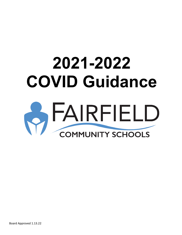# **2021-2022 COVID Guidance OFAIRFIELD**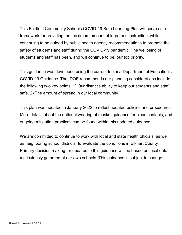This Fairfield Community Schools COVID-19 Safe Learning Plan will serve as a framework for providing the maximum amount of in-person instruction, while continuing to be guided by public health agency recommendations to promote the safety of students and staff during the COVID-19 pandemic. The wellbeing of students and staff has been, and will continue to be, our top priority.

This guidance was developed using the current Indiana Department of Education's COVID-19 Guidance. The IDOE recommends our planning considerations include the following two key points: 1) Our district's ability to keep our students and staff safe. 2) The amount of spread in our local community.

This plan was updated in January 2022 to reflect updated policies and procedures. More details about the optional wearing of masks, guidance for close contacts, and ongoing mitigation practices can be found within this updated guidance.

We are committed to continue to work with local and state health officials, as well as neighboring school districts, to evaluate the conditions in Elkhart County. Primary decision making for updates to this guidance will be based on local data meticulously gathered at our own schools. This guidance is subject to change.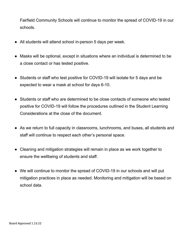Fairfield Community Schools will continue to monitor the spread of COVID-19 in our schools.

- All students will attend school in-person 5 days per week.
- Masks will be optional, except in situations where an individual is determined to be a close contact or has tested positive.
- Students or staff who test positive for COVID-19 will isolate for 5 days and be expected to wear a mask at school for days 6-10.
- Students or staff who are determined to be close contacts of someone who tested positive for COVID-19 will follow the procedures outlined in the Student Learning Considerations at the close of the document.
- As we return to full capacity in classrooms, lunchrooms, and buses, all students and staff will continue to respect each other's personal space.
- Cleaning and mitigation strategies will remain in place as we work together to ensure the wellbeing of students and staff.
- We will continue to monitor the spread of COVID-19 in our schools and will put mitigation practices in place as needed. Monitoring and mitigation will be based on school data.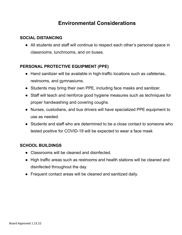# **Environmental Considerations**

## **SOCIAL DISTANCING**

● All students and staff will continue to respect each other's personal space in classrooms, lunchrooms, and on buses.

# **PERSONAL PROTECTIVE EQUIPMENT (PPE)**

- Hand sanitizer will be available in high-traffic locations such as cafeterias, restrooms, and gymnasiums.
- Students may bring their own PPE, including face masks and sanitizer.
- Staff will teach and reinforce good hygiene measures such as techniques for proper handwashing and covering coughs.
- Nurses, custodians, and bus drivers will have specialized PPE equipment to use as needed.
- Students and staff who are determined to be a close contact to someone who tested positive for COVID-19 will be expected to wear a face mask

#### **SCHOOL BUILDINGS**

- Classrooms will be cleaned and disinfected.
- High traffic areas such as restrooms and health stations will be cleaned and disinfected throughout the day.
- Frequent contact areas will be cleaned and sanitized daily.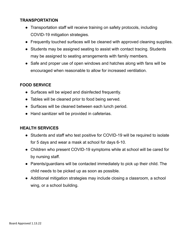#### **TRANSPORTATION**

- Transportation staff will receive training on safety protocols, including COVID-19 mitigation strategies.
- Frequently touched surfaces will be cleaned with approved cleaning supplies.
- Students may be assigned seating to assist with contact tracing. Students may be assigned to seating arrangements with family members.
- Safe and proper use of open windows and hatches along with fans will be encouraged when reasonable to allow for increased ventilation.

# **FOOD SERVICE**

- Surfaces will be wiped and disinfected frequently.
- Tables will be cleaned prior to food being served.
- Surfaces will be cleaned between each lunch period.
- Hand sanitizer will be provided in cafeterias.

#### **HEALTH SERVICES**

- Students and staff who test positive for COVID-19 will be required to isolate for 5 days and wear a mask at school for days 6-10.
- Children who present COVID-19 symptoms while at school will be cared for by nursing staff.
- Parents/guardians will be contacted immediately to pick up their child. The child needs to be picked up as soon as possible.
- Additional mitigation strategies may include closing a classroom, a school wing, or a school building.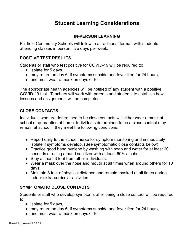# **Student Learning Considerations**

## **IN-PERSON LEARNING**

Fairfield Community Schools will follow in a traditional format, with students attending classes in person, five days per week.

#### **POSITIVE TEST RESULTS**

Students or staff who test positive for COVID-19 will be required to:

- isolate for 5 days,
- may return on day 6, if symptoms subside and fever free for 24 hours,
- and must wear a mask on days 6-10.

The appropriate health agencies will be notified of any student with a positive COVID-19 test. Teachers will work with parents and students to establish how lessons and assignments will be completed.

#### **CLOSE CONTACTS**

Individuals who are determined to be close contacts will either wear a mask at school or quarantine at home. Individuals determined to be a close contact may remain at school if they meet the following conditions:

- Report daily to the school nurse for symptom monitoring and immediately isolate if symptoms develop. (See symptomatic close contacts below)
- Practice good hand hygiene by washing with soap and water for at least 20 seconds or using a hand sanitizer with at least 60% alcohol.
- Stay at least 3 feet from other individuals.
- Wear a mask over the nose and mouth at all times when around others for 10 days.
- Maintain 3 feet of physical distance and remain masked at all times during indoor extra-curricular activities.

# **SYMPTOMATIC CLOSE CONTACTS**

Students or staff who develop symptoms after being a close contact will be required to:

- isolate for 5 days,
- may return on day 6, if symptoms subside and fever free for 24 hours,
- and must wear a mask on days 6-10.